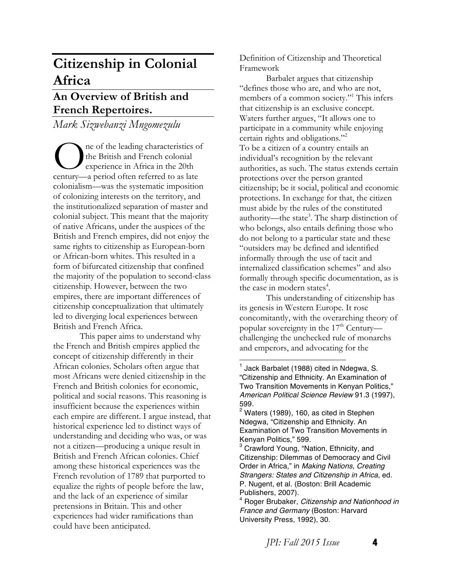# **Citizenship in Colonial Africa**

## **An Overview of British and French Repertoires.**

*Mark Sizwebanzi Mngomezulu* 

ne of the leading characteristics of the British and French colonial experience in Africa in the 20th The of the leading characteristics of the British and French colonial experience in Africa in the 20th century—a period often referred to as late colonialism—was the systematic imposition of colonizing interests on the territory, and the institutionalized separation of master and colonial subject. This meant that the majority of native Africans, under the auspices of the British and French empires, did not enjoy the same rights to citizenship as European-born or African-born whites. This resulted in a form of bifurcated citizenship that confined the majority of the population to second-class citizenship. However, between the two empires, there are important differences of citizenship conceptualization that ultimately led to diverging local experiences between British and French Africa.

This paper aims to understand why the French and British empires applied the concept of citizenship differently in their African colonies. Scholars often argue that most Africans were denied citizenship in the French and British colonies for economic, political and social reasons. This reasoning is insufficient because the experiences within each empire are different. I argue instead, that historical experience led to distinct ways of understanding and deciding who was, or was not a citizen—producing a unique result in British and French African colonies. Chief among these historical experiences was the French revolution of 1789 that purported to equalize the rights of people before the law, and the lack of an experience of similar pretensions in Britain. This and other experiences had wider ramifications than could have been anticipated.

Definition of Citizenship and Theoretical Framework

Barbalet argues that citizenship "defines those who are, and who are not, members of a common society."<sup>1</sup> This infers that citizenship is an exclusive concept. Waters further argues, "It allows one to participate in a community while enjoying certain rights and obligations."2 To be a citizen of a country entails an individual's recognition by the relevant authorities, as such. The status extends certain protections over the person granted citizenship; be it social, political and economic protections. In exchange for that, the citizen must abide by the rules of the constituted authority—the state<sup>3</sup>. The sharp distinction of who belongs, also entails defining those who do not belong to a particular state and these "outsiders may be defined and identified informally through the use of tacit and internalized classification schemes" and also formally through specific documentation, as is the case in modern states<sup>4</sup>.

This understanding of citizenship has its genesis in Western Europe. It rose concomitantly, with the overarching theory of popular sovereignty in the 17<sup>th</sup> Centurychallenging the unchecked rule of monarchs and emperors, and advocating for the

 $<sup>1</sup>$  Jack Barbalet (1988) cited in Ndegwa, S.</sup> "Citizenship and Ethnicity. An Examination of Two Transition Movements in Kenyan Politics," *American Political Science Review* 91.3 (1997), 599.

 $2$  Waters (1989), 160, as cited in Stephen Ndegwa, "Citizenship and Ethnicity. An Examination of Two Transition Movements in Kenyan Politics," 599.

<sup>&</sup>lt;sup>3</sup> Crawford Young, "Nation, Ethnicity, and Citizenship: Dilemmas of Democracy and Civil Order in Africa," in *Making Nations, Creating Strangers: States and Citizenship in Africa*, ed. P. Nugent, et al. (Boston: Brill Academic Publishers, 2007).

<sup>4</sup> Roger Brubaker, *Citizenship and Nationhood in France and Germany* (Boston: Harvard University Press, 1992), 30.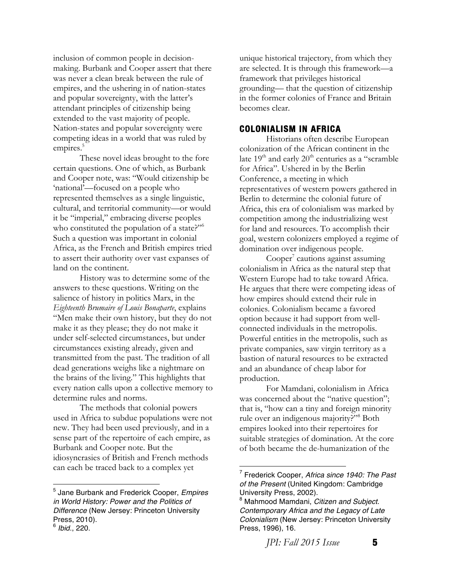inclusion of common people in decisionmaking. Burbank and Cooper assert that there was never a clean break between the rule of empires, and the ushering in of nation-states and popular sovereignty, with the latter's attendant principles of citizenship being extended to the vast majority of people. Nation-states and popular sovereignty were competing ideas in a world that was ruled by empires.<sup>5</sup>

These novel ideas brought to the fore certain questions. One of which, as Burbank and Cooper note, was: "Would citizenship be 'national'—focused on a people who represented themselves as a single linguistic, cultural, and territorial community—or would it be "imperial," embracing diverse peoples who constituted the population of a state?"<sup>6</sup> Such a question was important in colonial Africa, as the French and British empires tried to assert their authority over vast expanses of land on the continent.

History was to determine some of the answers to these questions. Writing on the salience of history in politics Marx, in the *Eighteenth Brumaire of Louis Bonaparte*, explains "Men make their own history, but they do not make it as they please; they do not make it under self-selected circumstances, but under circumstances existing already, given and transmitted from the past. The tradition of all dead generations weighs like a nightmare on the brains of the living." This highlights that every nation calls upon a collective memory to determine rules and norms.

The methods that colonial powers used in Africa to subdue populations were not new. They had been used previously, and in a sense part of the repertoire of each empire, as Burbank and Cooper note. But the idiosyncrasies of British and French methods can each be traced back to a complex yet

 

unique historical trajectory, from which they are selected. It is through this framework—a framework that privileges historical grounding— that the question of citizenship in the former colonies of France and Britain becomes clear.

#### **COLONIALISM IN AFRICA**

Historians often describe European colonization of the African continent in the late  $19<sup>th</sup>$  and early  $20<sup>th</sup>$  centuries as a "scramble" for Africa". Ushered in by the Berlin Conference, a meeting in which representatives of western powers gathered in Berlin to determine the colonial future of Africa, this era of colonialism was marked by competition among the industrializing west for land and resources. To accomplish their goal, western colonizers employed a regime of domination over indigenous people.

 $Cooper'$  cautions against assuming colonialism in Africa as the natural step that Western Europe had to take toward Africa. He argues that there were competing ideas of how empires should extend their rule in colonies. Colonialism became a favored option because it had support from wellconnected individuals in the metropolis. Powerful entities in the metropolis, such as private companies, saw virgin territory as a bastion of natural resources to be extracted and an abundance of cheap labor for production.

For Mamdani, colonialism in Africa was concerned about the "native question"; that is, "how can a tiny and foreign minority rule over an indigenous majority?"<sup>8</sup> Both empires looked into their repertoires for suitable strategies of domination. At the core of both became the de-humanization of the

*JPI: Fall 2015 Issue* **5** 

<sup>5</sup> Jane Burbank and Frederick Cooper, *Empires in World History: Power and the Politics of Difference* (New Jersey: Princeton University Press, 2010).

<sup>6</sup> *Ibid*., 220.

<sup>7</sup> Frederick Cooper, *Africa since 1940: The Past of the Present* (United Kingdom: Cambridge University Press, 2002).

<sup>8</sup> Mahmood Mamdani, *Citizen and Subject. Contemporary Africa and the Legacy of Late Colonialism* (New Jersey: Princeton University Press, 1996), 16.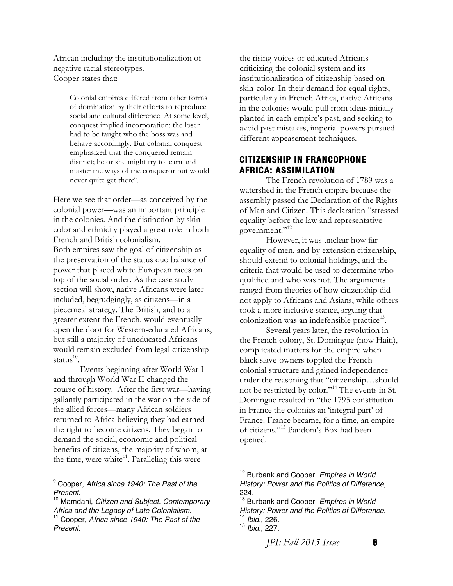African including the institutionalization of negative racial stereotypes. Cooper states that:

> Colonial empires differed from other forms of domination by their efforts to reproduce social and cultural difference. At some level, conquest implied incorporation: the loser had to be taught who the boss was and behave accordingly. But colonial conquest emphasized that the conquered remain distinct; he or she might try to learn and master the ways of the conqueror but would never quite get there<sup>9</sup>.

Here we see that order—as conceived by the colonial power—was an important principle in the colonies. And the distinction by skin color and ethnicity played a great role in both French and British colonialism. Both empires saw the goal of citizenship as the preservation of the status quo balance of power that placed white European races on top of the social order. As the case study section will show, native Africans were later included, begrudgingly, as citizens—in a piecemeal strategy. The British, and to a greater extent the French, would eventually open the door for Western-educated Africans, but still a majority of uneducated Africans would remain excluded from legal citizenship status $^{10}$ .

Events beginning after World War I and through World War II changed the course of history. After the first war—having gallantly participated in the war on the side of the allied forces—many African soldiers returned to Africa believing they had earned the right to become citizens. They began to demand the social, economic and political benefits of citizens, the majority of whom, at the time, were white $^{11}$ . Paralleling this were

<sup>9</sup> Cooper, *Africa since 1940: The Past of the Present.*

 

the rising voices of educated Africans criticizing the colonial system and its institutionalization of citizenship based on skin-color. In their demand for equal rights, particularly in French Africa, native Africans in the colonies would pull from ideas initially planted in each empire's past, and seeking to avoid past mistakes, imperial powers pursued different appeasement techniques.

### **CITIZENSHIP IN FRANCOPHONE AFRICA: ASSIMILATION**

The French revolution of 1789 was a watershed in the French empire because the assembly passed the Declaration of the Rights of Man and Citizen. This declaration "stressed equality before the law and representative government."<sup>12</sup>

However, it was unclear how far equality of men, and by extension citizenship, should extend to colonial holdings, and the criteria that would be used to determine who qualified and who was not. The arguments ranged from theories of how citizenship did not apply to Africans and Asians, while others took a more inclusive stance, arguing that colonization was an indefensible practice<sup>13</sup>.

Several years later, the revolution in the French colony, St. Domingue (now Haiti), complicated matters for the empire when black slave-owners toppled the French colonial structure and gained independence under the reasoning that "citizenship…should not be restricted by color."14 The events in St. Domingue resulted in "the 1795 constitution in France the colonies an 'integral part' of France. France became, for a time, an empire of citizens."15 Pandora's Box had been opened.

*JPI: Fall 2015 Issue* **6** 

<sup>10</sup> Mamdani, *Citizen and Subject. Contemporary Africa and the Legacy of Late Colonialism.* <sup>11</sup> Cooper, *Africa since 1940: The Past of the Present.*

<sup>12</sup> Burbank and Cooper, *Empires in World History: Power and the Politics of Difference*, 224.

<sup>13</sup> Burbank and Cooper, *Empires in World History: Power and the Politics of Difference*. 14 *Ibid.*, 226.

<sup>15</sup> *Ibid.*, 227.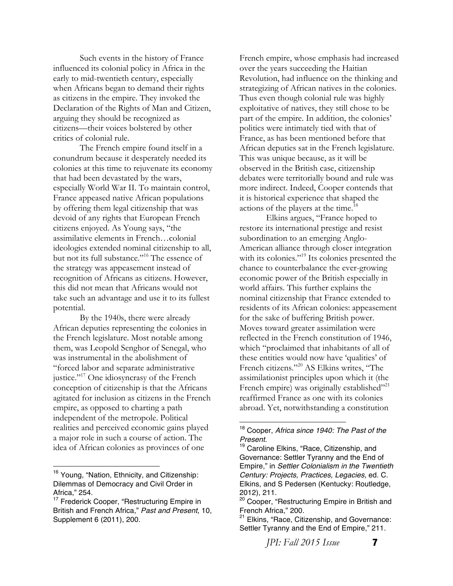Such events in the history of France influenced its colonial policy in Africa in the early to mid-twentieth century, especially when Africans began to demand their rights as citizens in the empire. They invoked the Declaration of the Rights of Man and Citizen, arguing they should be recognized as citizens—their voices bolstered by other critics of colonial rule.

The French empire found itself in a conundrum because it desperately needed its colonies at this time to rejuvenate its economy that had been devastated by the wars, especially World War II. To maintain control, France appeased native African populations by offering them legal citizenship that was devoid of any rights that European French citizens enjoyed. As Young says, "the assimilative elements in French…colonial ideologies extended nominal citizenship to all, but not its full substance."<sup>16</sup> The essence of the strategy was appeasement instead of recognition of Africans as citizens. However, this did not mean that Africans would not take such an advantage and use it to its fullest potential.

By the 1940s, there were already African deputies representing the colonies in the French legislature. Most notable among them, was Leopold Senghor of Senegal, who was instrumental in the abolishment of "forced labor and separate administrative justice."<sup>17</sup> One idiosyncrasy of the French conception of citizenship is that the Africans agitated for inclusion as citizens in the French empire, as opposed to charting a path independent of the metropole. Political realities and perceived economic gains played a major role in such a course of action. The idea of African colonies as provinces of one

 

French empire, whose emphasis had increased over the years succeeding the Haitian Revolution, had influence on the thinking and strategizing of African natives in the colonies. Thus even though colonial rule was highly exploitative of natives, they still chose to be part of the empire. In addition, the colonies' politics were intimately tied with that of France, as has been mentioned before that African deputies sat in the French legislature. This was unique because, as it will be observed in the British case, citizenship debates were territorially bound and rule was more indirect. Indeed, Cooper contends that it is historical experience that shaped the actions of the players at the time.<sup>18</sup>

Elkins argues, "France hoped to restore its international prestige and resist subordination to an emerging Anglo-American alliance through closer integration with its colonies."<sup>19</sup> Its colonies presented the chance to counterbalance the ever-growing economic power of the British especially in world affairs. This further explains the nominal citizenship that France extended to residents of its African colonies: appeasement for the sake of buffering British power. Moves toward greater assimilation were reflected in the French constitution of 1946, which "proclaimed that inhabitants of all of these entities would now have 'qualities' of French citizens."20 AS Elkins writes, "The assimilationist principles upon which it (the French empire) was originally established<sup>"21</sup> reaffirmed France as one with its colonies abroad. Yet, notwithstanding a constitution

 

*JPI: Fall 2015 Issue* **7** 

<sup>&</sup>lt;sup>16</sup> Young, "Nation, Ethnicity, and Citizenship: Dilemmas of Democracy and Civil Order in Africa," 254.

<sup>&</sup>lt;sup>17</sup> Frederick Cooper, "Restructuring Empire in British and French Africa," *Past and Present*, 10, Supplement 6 (2011), 200.

<sup>18</sup> Cooper, *Africa since 1940: The Past of the Present.*

<sup>&</sup>lt;sup>19</sup> Caroline Elkins, "Race, Citizenship, and Governance: Settler Tyranny and the End of Empire," in *Settler Colonialism in the Twentieth Century: Projects, Practices, Legacies,* ed. C. Elkins, and S Pedersen (Kentucky: Routledge, 2012), 211.

<sup>&</sup>lt;sup>20</sup> Cooper, "Restructuring Empire in British and French Africa," 200.

<sup>&</sup>lt;sup>21</sup> Elkins, "Race, Citizenship, and Governance: Settler Tyranny and the End of Empire," 211.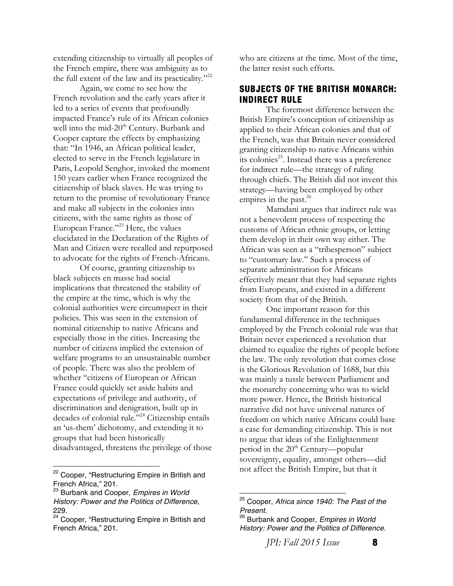extending citizenship to virtually all peoples of the French empire, there was ambiguity as to the full extent of the law and its practicality."<sup>22</sup>

Again, we come to see how the French revolution and the early years after it led to a series of events that profoundly impacted France's rule of its African colonies well into the mid-20<sup>th</sup> Century. Burbank and Cooper capture the effects by emphasizing that: "In 1946, an African political leader, elected to serve in the French legislature in Paris, Leopold Senghor, invoked the moment 150 years earlier when France recognized the citizenship of black slaves. He was trying to return to the promise of revolutionary France and make all subjects in the colonies into citizens, with the same rights as those of European France."<sup>23</sup> Here, the values elucidated in the Declaration of the Rights of Man and Citizen were recalled and repurposed to advocate for the rights of French-Africans.

Of course, granting citizenship to black subjects en masse had social implications that threatened the stability of the empire at the time, which is why the colonial authorities were circumspect in their policies. This was seen in the extension of nominal citizenship to native Africans and especially those in the cities. Increasing the number of citizens implied the extension of welfare programs to an unsustainable number of people. There was also the problem of whether "citizens of European or African France could quickly set aside habits and expectations of privilege and authority, of discrimination and denigration, built up in decades of colonial rule."<sup>24</sup> Citizenship entails an 'us-them' dichotomy, and extending it to groups that had been historically disadvantaged, threatens the privilege of those

<sup>22</sup> Cooper, "Restructuring Empire in British and French Africa," 201.

 

who are citizens at the time. Most of the time, the latter resist such efforts.

#### **SUBJECTS OF THE BRITISH MONARCH: INDIRECT RULE**

The foremost difference between the British Empire's conception of citizenship as applied to their African colonies and that of the French, was that Britain never considered granting citizenship to native Africans within its colonies<sup>25</sup>. Instead there was a preference for indirect rule—the strategy of ruling through chiefs. The British did not invent this strategy—having been employed by other empires in the past.<sup>26</sup>

Mamdani argues that indirect rule was not a benevolent process of respecting the customs of African ethnic groups, or letting them develop in their own way either. The African was seen as a "tribesperson" subject to "customary law." Such a process of separate administration for Africans effectively meant that they had separate rights from Europeans, and existed in a different society from that of the British.

One important reason for this fundamental difference in the techniques employed by the French colonial rule was that Britain never experienced a revolution that claimed to equalize the rights of people before the law. The only revolution that comes close is the Glorious Revolution of 1688, but this was mainly a tussle between Parliament and the monarchy concerning who was to wield more power. Hence, the British historical narrative did not have universal natures of freedom on which native Africans could base a case for demanding citizenship. This is not to argue that ideas of the Enlightenment period in the 20<sup>th</sup> Century—popular sovereignty, equality, amongst others—did not affect the British Empire, but that it

*JPI: Fall 2015 Issue* **8** 

<sup>23</sup> Burbank and Cooper, *Empires in World History: Power and the Politics of Difference*, 229.

<sup>&</sup>lt;sup>24</sup> Cooper, "Restructuring Empire in British and French Africa," 201.

<sup>25</sup> Cooper, *Africa since 1940: The Past of the Present.*

<sup>26</sup> Burbank and Cooper, *Empires in World History: Power and the Politics of Difference.*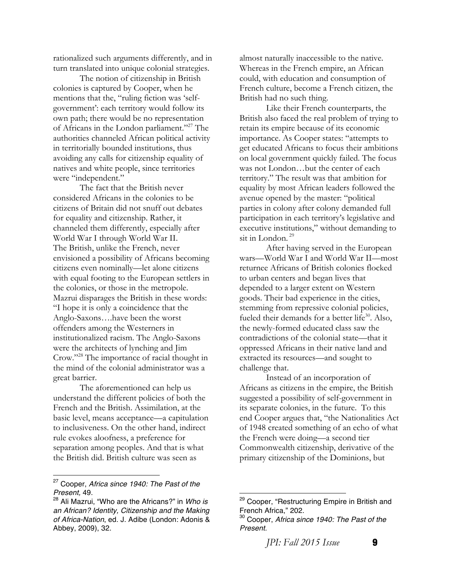rationalized such arguments differently, and in turn translated into unique colonial strategies.

The notion of citizenship in British colonies is captured by Cooper, when he mentions that the, "ruling fiction was 'selfgovernment': each territory would follow its own path; there would be no representation of Africans in the London parliament."27 The authorities channeled African political activity in territorially bounded institutions, thus avoiding any calls for citizenship equality of natives and white people, since territories were "independent."

The fact that the British never considered Africans in the colonies to be citizens of Britain did not snuff out debates for equality and citizenship. Rather, it channeled them differently, especially after World War I through World War II. The British, unlike the French, never envisioned a possibility of Africans becoming citizens even nominally—let alone citizens with equal footing to the European settlers in the colonies, or those in the metropole. Mazrui disparages the British in these words: "I hope it is only a coincidence that the Anglo-Saxons….have been the worst offenders among the Westerners in institutionalized racism. The Anglo-Saxons were the architects of lynching and Jim Crow."28 The importance of racial thought in the mind of the colonial administrator was a great barrier.

The aforementioned can help us understand the different policies of both the French and the British. Assimilation, at the basic level, means acceptance—a capitulation to inclusiveness. On the other hand, indirect rule evokes aloofness, a preference for separation among peoples. And that is what the British did. British culture was seen as

 

almost naturally inaccessible to the native. Whereas in the French empire, an African could, with education and consumption of French culture, become a French citizen, the British had no such thing.

Like their French counterparts, the British also faced the real problem of trying to retain its empire because of its economic importance. As Cooper states: "attempts to get educated Africans to focus their ambitions on local government quickly failed. The focus was not London…but the center of each territory." The result was that ambition for equality by most African leaders followed the avenue opened by the master: "political parties in colony after colony demanded full participation in each territory's legislative and executive institutions," without demanding to sit in London. 29

After having served in the European wars—World War I and World War II—most returnee Africans of British colonies flocked to urban centers and began lives that depended to a larger extent on Western goods. Their bad experience in the cities, stemming from repressive colonial policies, fueled their demands for a better life $30$ . Also, the newly-formed educated class saw the contradictions of the colonial state—that it oppressed Africans in their native land and extracted its resources—and sought to challenge that.

Instead of an incorporation of Africans as citizens in the empire, the British suggested a possibility of self-government in its separate colonies, in the future. To this end Cooper argues that, "the Nationalities Act of 1948 created something of an echo of what the French were doing—a second tier Commonwealth citizenship, derivative of the primary citizenship of the Dominions, but

*JPI: Fall 2015 Issue* **9** 

<sup>27</sup> Cooper, *Africa since 1940: The Past of the Present,* 49.

<sup>28</sup> Ali Mazrui, "Who are the Africans?" in *Who is an African? Identity, Citizenship and the Making of Africa-Nation*, ed. J. Adibe (London: Adonis & Abbey, 2009), 32.

<sup>&</sup>lt;sup>29</sup> Cooper, "Restructuring Empire in British and French Africa," 202.

<sup>30</sup> Cooper, *Africa since 1940: The Past of the Present.*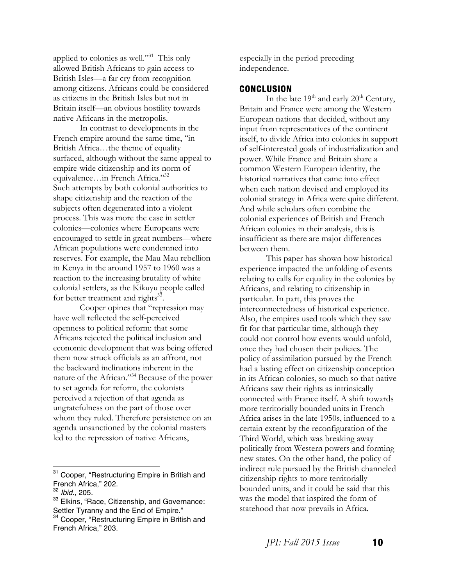applied to colonies as well."<sup>31</sup> This only allowed British Africans to gain access to British Isles—a far cry from recognition among citizens. Africans could be considered as citizens in the British Isles but not in Britain itself—an obvious hostility towards native Africans in the metropolis.

In contrast to developments in the French empire around the same time, "in British Africa…the theme of equality surfaced, although without the same appeal to empire-wide citizenship and its norm of equivalence…in French Africa."32 Such attempts by both colonial authorities to shape citizenship and the reaction of the subjects often degenerated into a violent process. This was more the case in settler colonies—colonies where Europeans were encouraged to settle in great numbers—where African populations were condemned into reserves. For example, the Mau Mau rebellion in Kenya in the around 1957 to 1960 was a reaction to the increasing brutality of white colonial settlers, as the Kikuyu people called for better treatment and rights $33$ .

Cooper opines that "repression may have well reflected the self-perceived openness to political reform: that some Africans rejected the political inclusion and economic development that was being offered them now struck officials as an affront, not the backward inclinations inherent in the nature of the African."34 Because of the power to set agenda for reform, the colonists perceived a rejection of that agenda as ungratefulness on the part of those over whom they ruled. Therefore persistence on an agenda unsanctioned by the colonial masters led to the repression of native Africans,

 

especially in the period preceding independence.

### **CONCLUSION**

In the late  $19<sup>th</sup>$  and early  $20<sup>th</sup>$  Century, Britain and France were among the Western European nations that decided, without any input from representatives of the continent itself, to divide Africa into colonies in support of self-interested goals of industrialization and power. While France and Britain share a common Western European identity, the historical narratives that came into effect when each nation devised and employed its colonial strategy in Africa were quite different. And while scholars often combine the colonial experiences of British and French African colonies in their analysis, this is insufficient as there are major differences between them.

This paper has shown how historical experience impacted the unfolding of events relating to calls for equality in the colonies by Africans, and relating to citizenship in particular. In part, this proves the interconnectedness of historical experience. Also, the empires used tools which they saw fit for that particular time, although they could not control how events would unfold, once they had chosen their policies. The policy of assimilation pursued by the French had a lasting effect on citizenship conception in its African colonies, so much so that native Africans saw their rights as intrinsically connected with France itself. A shift towards more territorially bounded units in French Africa arises in the late 1950s, influenced to a certain extent by the reconfiguration of the Third World, which was breaking away politically from Western powers and forming new states. On the other hand, the policy of indirect rule pursued by the British channeled citizenship rights to more territorially bounded units, and it could be said that this was the model that inspired the form of statehood that now prevails in Africa.

<sup>&</sup>lt;sup>31</sup> Cooper, "Restructuring Empire in British and French Africa," 202.

<sup>32</sup> *Ibid.,* 205.

<sup>&</sup>lt;sup>33</sup> Elkins, "Race, Citizenship, and Governance: Settler Tyranny and the End of Empire."

<sup>&</sup>lt;sup>34</sup> Cooper, "Restructuring Empire in British and French Africa," 203.